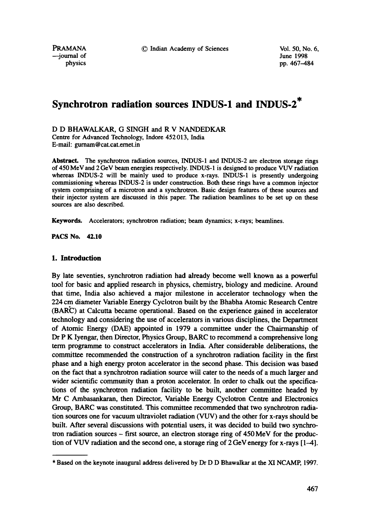PRAMANA **C** Indian Academy of Sciences Vol. 50, No. 6,<br>
—iournal of June 1998

--journal of<br>physics

pp. 467-484

# **Synchrotron radiation sources INDUS-1 and INDUS-2\***

D D BHAWALKAR, G SINGH and R V NANDEDKAR Centre for Advanced Technology, Indore 452013, India E-mail: gumam @ cat.cat.crnet.in

Abstract. The synchrotron radiation sources, INDUS-1 and INDUS-2 are electron storage rings of 450 MeV and 2 GeV beam energies respectively. INDUS-1 is designed to produce VUV radiation whereas INDUS-2 will be mainly used to produce x-rays. INDUS-1 is presently undergoing commissioning whereas INDUS-2 is under construction. Both these rings have a common injector system comprising of a microtron and a synchrotron. Basic design features of these sources and their injector system are discussed in this paper. The radiation beamlines to be set up on these sources are also described.

Keywords, Accelerators; synchrotron radiation; beam dynamics; x-rays; beamlines.

**PACS No. 42.10** 

# **1. Introduction**

By late seventies, synchrotron radiation had already become well known as a powerful tool for basic and applied research in physics, chemistry, biology and medicine. Around that time, India also achieved a major milestone in accelerator technology when the 224 cm diameter Variable Energy Cyclotron built by the Bhabha Atomic Research Centre (BAR'C) at Calcutta became operational. Based on the experience gained in accelerator technology and considering the use of accelerators in various disciplines, the Department of Atomic Energy (DAE) appointed in 1979 a committee under the Chairmanship of Dr P K Iyengar, then Director, Physics Group, BARC to recommend a comprehensive long term programme to construct accelerators in India. After considerable deliberations, the committee recommended the construction of a synchrotron radiation facility in the first phase and a high energy proton accelerator in the second phase. This decision was based on the fact that a synchrotron radiation source will cater to the needs of a much larger and wider scientific community than a proton accelerator. In order to chalk out the specifications of the synchrotron radiation facility to be built, another committee headed by Mr C Ambasankaran, then Director, Variable Energy Cyclotron Centre and Electronics Group, BARC was constituted. This committee recommended that two synchrotron radiation sources one for vacuum ultraviolet radiation (VUV) and the other for x-rays should be built. After several discussions with potential users, it was decided to build two synchrotron radiation sources - first source, an electron storage ring of 450 MeV for the production of VUV radiation and the second one, a storage ring of 2 GeV energy for x-rays [ 1-4].

<sup>\*</sup> Based on the keynote inaugural address delivered by Dr D D Bhawalkar at the XI NCAMP, 1997.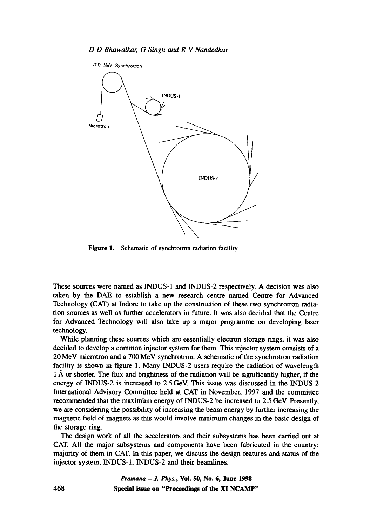

Figure 1. Schematic of synchrotron radiation facility.

These sources were named as INDUS-1 and INDUS-2 respectively. A decision was also taken by the DAE to establish a new research centre named Centre for Advanced Technology (CAT) at Indore to take up the construction of these two synchrotron radiation sources as well as further accelerators in future. It was also decided that the Centre for Advanced Technology will also take up a major programme on developing laser technology.

While planning these sources which are essentially electron storage rings, it was also decided to develop a common injector system for them. This injector system consists of a 20 MeV microtron and a 700 MeV synchrotron. A schematic of the synchrotron radiation facility is shown in figure 1. Many INDUS-2 users require the radiation of wavelength  $1$  Å or shorter. The flux and brightness of the radiation will be significantly higher, if the energy of INDUS-2 is increased to 2.5 GeV. This issue was discussed in the INDUS-2 International Advisory Committee held at CAT in November, 1997 and the committee recommended that the maximiam energy of INDUS-2 be increased to 2.5 GeV. Presently, we are considering the possibility of increasing the beam energy by further increasing the magnetic field of magnets as this would involve minimum changes in the basic design of the storage ring.

The design work of all the accelerators and their subsystems has been carried out at CAT. All the major subsystems and components have been fabricated in the country; majority of them in CAT. In this paper, we discuss the design features and status of the injector system, INDUS-l, INDUS-2 and their beamlines.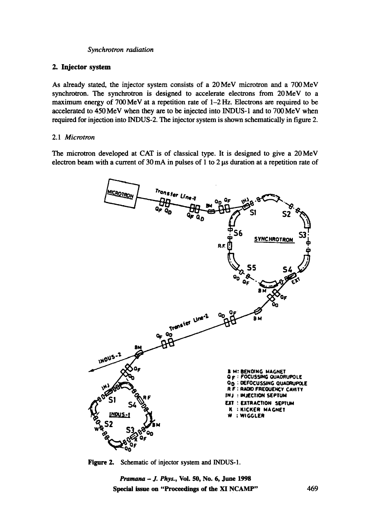# **2. Injector system**

As already stated, the injector system consists of a 20MeV microtron and a 700MeV synchrotron. The synchrotron is designed to accelerate electrons from 20MeV to a maximum energy of 700 MeV at a repetition rate of 1–2 Hz. Electrons are required to be accelerated to 450MeV when they are to be injected into INDUS-1 and to 700MeV when required for injection into INDUS-2. The injector system is shown schematically in figure 2.

# 2.1 *Microtron*

The microtron developed at CAT is of classical type. It is designed to give a 20 MeV electron beam with a current of  $30 \text{ mA}$  in pulses of 1 to  $2 \mu s$  duration at a repetition rate of



Figure 2. Schematic of injector system and INDUS-1.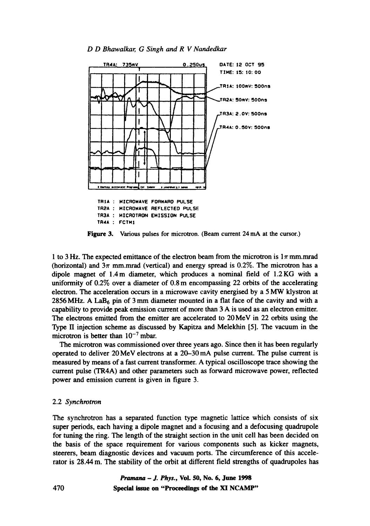



Figure 3. Various pulses for microtron. (Beam current 24 mA at the cursor.)

1 to 3 Hz. The expected emittance of the electron beam from the microtron is  $1\pi$  mm.mrad (horizontal) and  $3\pi$  mm.mrad (vertical) and energy spread is 0.2%. The microtron has a dipole magnet of 1.4m diameter, which produces a nominal field of 1.2KG with a uniformity of 0.2% over a diameter of 0.8 m encompassing 22 orbits of the accelerating electron. The acceleration occurs in a microwave cavity energised by a 5 MW klystron at 2856 MHz. A LaB $_6$  pin of 3 mm diameter mounted in a flat face of the cavity and with a capability to provide peak emission current of more than 3 A is used as an electron emitter. The electrons emitted from the emitter are accelerated to 20 MeV in 22 orbits using the Type 1I injection scheme as discussed by Kapitza and Melekhin [5]. The vacuum in the microtron is better than  $10^{-7}$  mbar.

The microtron was commissioned over three years ago. Since then it has been regularly operated to deliver 20 MeV electrons at a 20-30 mA pulse current. The pulse current is measured by means of a fast current transformer. A typical oscilloscope trace showing the current pulse (TR4A) and other parameters such as forward microwave power, reflected power and emission current is given in figure 3.

## 2.2 *Synchrotron*

The synchrotron has a separated function type magnetic lattice which consists of six super periods, each having a dipole magnet and a focusing and a defocusing quadrupole for tuning the ring. The length of the straight section in the unit cell has been decided on the basis of the space requirement for various components such as kicker magnets, steerers, beam diagnostic devices and vacuum ports. The circumference of this accelerator is 28.44 m. The stability of the orbit at different field strengths of quadrupoles has

> *Pramana - 1. Phys.,* **Vol. 50, No. 6, June 1998 Special issue on "Proceedings of the XI NCAMP"**

470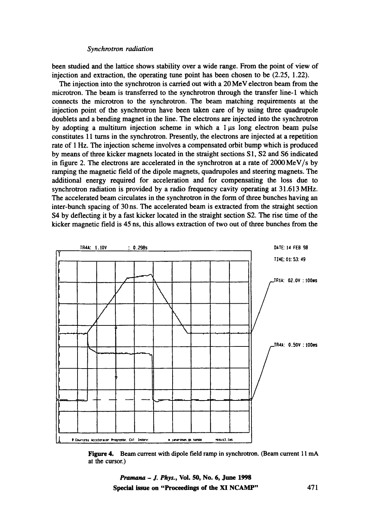been studied and the lattice shows stability over a wide range. From the point of view of injection and extraction, the operating tune point has been chosen to be (2.25, 1.22).

The injection into the synchrotron is carried out with a  $20 \text{ MeV}$  electron beam from the microtron. The beam is transferred to the synchrotron through the transfer line-1 which connects the microtron to the synchrotron. The beam matching requirements at the injection point of the synchrotron have been taken care of by using three quadrupole doublets and a bending magnet in the line. The electrons are injected into the synchrotron by adopting a multiturn injection scheme in which a  $1 \mu s$  long electron beam pulse constitutes 11 turns in the synchrotron. Presently, the electrons are injected at a repetition rate of 1 Hz. The injection scheme involves a compensated orbit bump which is produced by means of three kicker magnets located in the straight sections S 1, \$2 and \$6 indicated in figure 2. The electrons are accelerated in the synchrotron at a rate of  $2000 \,\text{MeV/s}$  by ramping the magnetic field of the dipole magnets, quadrupoles and steering magnets. The additional energy required for acceleration and for compensating the loss due to synchrotron radiation is provided by a radio frequency cavity operating at 31.613 MHz. The accelerated beam circulates in the synchrotron in the form of three bunches having an inter-bunch spacing of 30 ns. The accelerated beam is extracted from the straight section S4 by deflecting it by a fast kicker located in the straight section S2. The rise time of the kicker magnetic field is 45 ns, this allows extraction of two out of three bunches from the



Figure 4. Beam current with dipole field ramp in synchrotron. (Beam current 11 mA at the cursor.)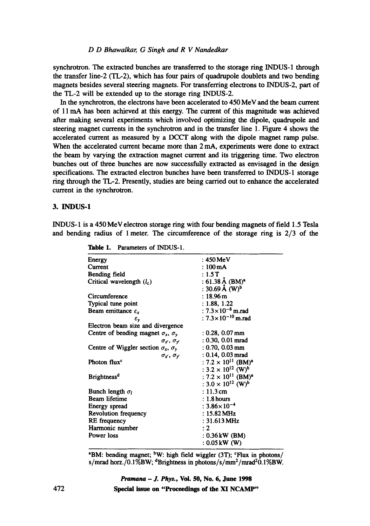## *D D Bhawalkar, G Singh and R V Nandedkar*

synchrotron. The extracted bunches are transferred to the storage ring INDUS-1 through the transfer line-2 (TL-2), which has four pairs of quadrupole doublets and two bending magnets besides several steering magnets. For transferring electrons to INDUS-2, part of the TL-2 will be extended up to the storage ring INDUS-2.

In the synchrotron, the electrons have been accelerated to 450 MeV and the beam current of 11 mA has been achieved at this energy. The current of this magnitude was achieved after making several experiments which involved optimizing the dipole, quadrupole and steering magnet currents in the synchrotron and in the transfer line 1. Figure 4 shows the accelerated current as measured by a DCCT along with the dipole magnet ramp pulse. When the accelerated current became more than 2 mA, experiments were done to extract the beam by varying the extraction magnet current and its triggering time. Two electron bunches out of three bunches are now successfully extracted as envisaged in the design specifications. The extracted electron bunches have been transferred to INDUS-1 storage ring through the TL-2. Presently, studies are being carried out to enhance the accelerated current in the synchrotron.

# 3. INDUS-1

INDUS-1 is a 450 MeV electron storage ring with four bending magnets of field 1.5 Tesla and bending radius of 1 meter. The circumference of the storage ring is 2/3 of the

| Energy                                            | $: 450 \,\mathrm{MeV}$                            |
|---------------------------------------------------|---------------------------------------------------|
| Current                                           | $:100 \,\mathrm{mA}$                              |
| Bending field                                     | : 1.5T                                            |
| Critical wavelength $(l_c)$                       | : 61.38 Å (BM) <sup>*</sup>                       |
|                                                   | : 30.69 Å $(W)^{b}$                               |
| Circumference                                     | $: 18.96 \,\mathrm{m}$                            |
| Typical tune point                                | : 1.88, 1.22                                      |
| Beam emittance $\varepsilon_x$                    | : $7.3 \times 10^{-8}$ m.rad                      |
| $\boldsymbol{\varepsilon}_{\mathbf{y}}$           | : $7.3 \times 10^{-10}$ m.rad                     |
| Electron beam size and divergence                 |                                                   |
| Centre of bending magnet $\sigma_x$ , $\sigma_y$  | $: 0.28, 0.07 \,\mathrm{mm}$                      |
| $\sigma_r$ , $\sigma_r$                           | $: 0.30, 0.01$ mrad                               |
| Centre of Wiggler section $\sigma_x$ , $\sigma_y$ | $: 0.70, 0.03$ mm                                 |
| $\sigma_x$ , $\sigma_y$                           | $: 0.14, 0.03$ mrad                               |
| Photon flux <sup>c</sup>                          | : 7.2 $\times$ 10 <sup>11</sup> (BM) <sup>a</sup> |
|                                                   | : $3.2 \times 10^{12}$ (W) <sup>b</sup>           |
| <b>Brightness<sup>d</sup></b>                     | : $7.2 \times 10^{11}$ (BM) <sup>a</sup>          |
|                                                   | : $3.0 \times 10^{12}$ (W) <sup>b</sup>           |
| Bunch length $\sigma_l$                           | $: 11.3$ cm                                       |
| <b>Beam</b> lifetime                              | $: 1.8$ hours                                     |
| Energy spread                                     | $: 3.86 \times 10^{-4}$                           |
| Revolution frequency                              | : $15.82 \text{ MHz}$                             |
| RE frequency                                      | : $31.613 \,\mathrm{MHz}$                         |
| Harmonic number                                   | : 2                                               |
| Power loss                                        | : 0.36 kW (BM)                                    |
|                                                   | : 0.05 kW (W)                                     |

**Table** 1. Parameters of INDUS-1.

 $^{\circ}$ BM: bending magnet;  $^{\circ}$ W: high field wiggler (3T);  $^{\circ}$ Flux in photons/ s/mrad horz./0.1%BW; <sup>d</sup>Brightness in photons/s/mm<sup>2</sup>/mrad<sup>2</sup>0.1%BW.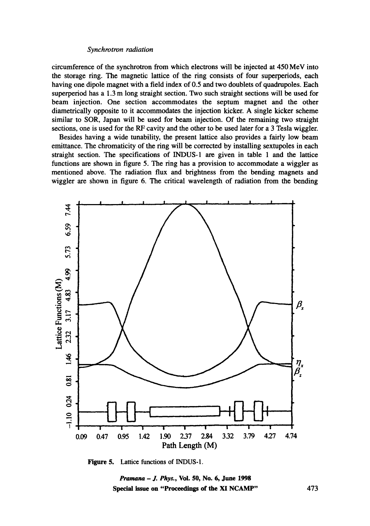circumference of the synchrotron from which electrons will be injected at 450 MeV into the storage ring. The magnetic lattice of the ring consists of four superperiods, each having one dipole magnet with a field index of 0.5 and two doublets of quadrupoles. Each superperiod has a 1.3 m long straight section. Two such straight sections will be used for beam injection. One section accommodates the septum magnet and the other diametrically opposite to it accommodates the injection kicker. A single kicker scheme similar to SOR, Japan will be used for beam injection. Of the remaining two straight sections, one is used for the RF cavity and the other to be used later for a 3 Tesla wiggler.

Besides having a wide tunability, the present lattice also provides a fairly low beam emittance. The chromaticity of the ring will be corrected by installing sextupoles in each straight section. The specifications of INDUS-1 are given in table 1 and the lattice functions are shown in figure 5. The ring has a provision to accommodate a wiggler as mentioned above. The radiation flux and brightness from the bending magnets and wiggler are shown in figure 6. The critical wavelength of radiation from the bending



**Figure 5. Lattice functions of INDUS-I.** 

*Pramana - J. Phys.,* **Vol. S0, No. 6, June 1998 Special issue on "Proceedings of the XI NCAMP"**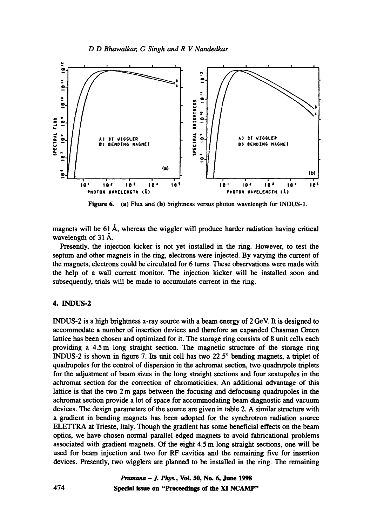

Figure 6. (a) Flux and (b) brightness versus photon wavelength for INDUS-1.

magnets will be 61 A, whereas the wiggler will produce harder radiation having critical wavelength of  $31 \text{ Å}$ .

Presently, the injection kicker is not yet installed in the ring. However, to test the septum and other magnets in the ring, electrons were injected. By varying the current of the magnets, electrons could be circulated for 6 turns. These observations were made with the help of a wall current monitor. The injection kicker will be installed soon and subsequently, trials will be made to accumulate current in the ring.

# 4. INDUS-2

INDUS-2 is a high brightness x-ray source with a beam energy of 2 GeV. It is designed to accommodate a number of insertion devices and therefore an expanded Chasman Green lattice has been chosen and optimized for it. The storage ring consists of 8 unit cells each providing a 4.5 m long straight section. The magnetic structure of the storage ring INDUS-2 is shown in figure 7. Its unit cell has two  $22.5^\circ$  bending magnets, a triplet of quadrupoles for the control of dispersion in the achromat section, two quadrupole triplets for the adjustment of beam sizes in the long straight sections and four sextupoles in the achromat section for the correction of chromaticities. An additional advantage of this lattice is that the two 2 m gaps between the focusing and defocusing quadrupoles in the achromat section provide a lot of space for accommodating beam diagnostic and vacuum devices. The design parameters of the source are given in table 2. A similar structure with a gradient in bending magnets has been adopted for the synchrotron radiation source ELETYRA at Trieste, Italy. Though the gradient has some beneficial effects on the beam optics, we have chosen normal parallel edged magnets to avoid fabricational problems associated with gradient magnets. Of the eight 4.5 m long straight sections, one will be used for beam injection and two for RF cavities and the remaining five for insertion devices. Presently, two wigglers are planned to be installed in the ring. The remaining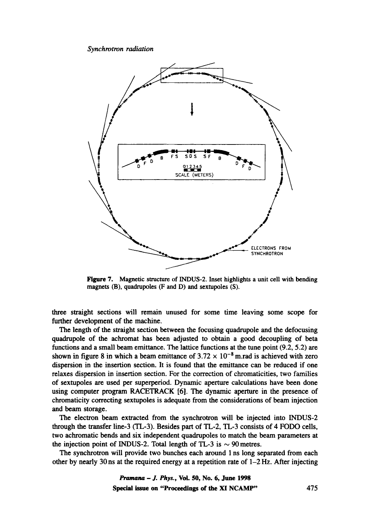

Figure 7. Magnetic structure of INDUS-2. Inset highlights a unit cell with bending magnets (B), quadrupoles (F and D) and sextupoles (S).

three straight sections will remain unused for some time leaving some scope for further development of the machine.

The length of the straight section between the focusing quadrupole and the defocusing quadrupole of the achromat has been adjusted to obtain a good decoupling of beta functions and a small beam emittance. The lattice functions at the tune point (9.2, 5.2) are shown in figure 8 in which a beam emittance of  $3.72 \times 10^{-8}$  m.rad is achieved with zero dispersion in the insertion section. It is found that the emittance can be reduced if one relaxes dispersion in insertion section. For the correction of chromaticities, two families of sextupoles are used per superperiod. Dynamic aperture calculations have been done using computer program RACETRACK [6]. The dynamic aperture in the presence of chromaticity correcting sextupoles is adequate from the considerations of beam injection and beam storage.

The electron beam extracted from the synchrotron will be injected into INDUS-2 through the transfer line-3 (TL-3). Besides part of TL-2, TL-3 consists of 4 FODO cells, two achromatic bends and six independent quadrupoles to match the beam parameters at the injection point of INDUS-2. Total length of TL-3 is  $\sim$  90 metres.

The synchrotron will provide two bunches each around 1 ns long separated from each other by nearly 30 ns at the required energy at a repetition rate of  $1-2$  Hz. After injecting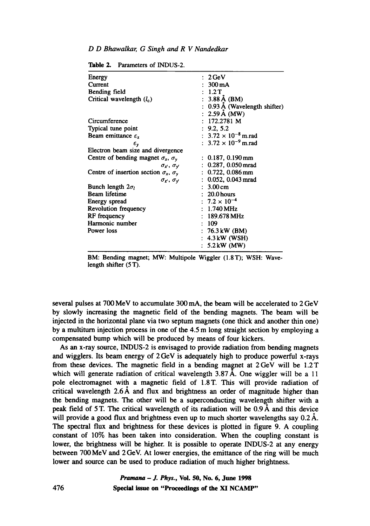## *D D Bhawalkar, G Singh and R V Nandedkar*

| Energy                                              | : 2 GeV                             |
|-----------------------------------------------------|-------------------------------------|
| Current                                             | $: 300 \text{ mA}$                  |
| Bending field                                       | : 1.2T                              |
| Critical wavelength $(l_c)$                         | $: 3.88 \text{ Å}$ (BM)             |
|                                                     | 0.93 Å (Wavelength shifter)         |
|                                                     | : $2.59 \text{ Å } (\text{MW})$     |
| Circumference                                       | : 172.2781 M                        |
| Typical tune point                                  | : 9.2, 5.2                          |
| Beam emittance $\varepsilon_{r}$                    | : $3.72 \times 10^{-8}$ m.rad       |
| $\epsilon_{\mathsf{v}}$                             | : $3.72 \times 10^{-9}$ m.rad       |
| Electron beam size and divergence                   |                                     |
| Centre of bending magnet $\sigma_x$ , $\sigma_y$    | $: 0.187, 0.190 \,\mathrm{mm}$      |
| $\sigma_{x'}, \sigma_{y'}$                          | $: 0.287, 0.050$ mrad               |
| Centre of insertion section $\sigma_x$ , $\sigma_y$ | $: 0.722, 0.086$ mm                 |
| $\sigma_{x}$ , $\sigma_{y}$                         | $: 0.052, 0.043$ mrad               |
| Bunch length $2\sigma_l$                            | $\therefore$ 3.00 cm                |
| Beam lifetime                                       | $: 20.0$ hours                      |
| Energy spread                                       | : $7.2 \times 10^{-4}$              |
| <b>Revolution frequency</b>                         | $: 1.740 \,\mathrm{MHz}$            |
| RF frequency                                        | $: 189.678 \,\mathrm{MHz}$          |
| Harmonic number                                     | : 109                               |
| Power loss                                          | : $76.3 \text{ kW}$ (BM)            |
|                                                     | : 4.3 kW (WSH)                      |
|                                                     | $: 5.2 \, \text{kW} \, (\text{MW})$ |
|                                                     |                                     |

Table 2. Parameters of INDUS-2.

BM: Bending magnet; MW: Multipole Wiggler (1.8T); WSH: Wavelength shifter (5 T).

several pulses at 700 MeV to accumulate 300 mA, the beam will be accelerated to 2 GeV by slowly increasing the magnetic field of the bending magnets. The beam will be injected in the horizontal plane via two septum magnets (one thick and another thin one) by a multiturn injection process in one of the 4.5 m long straight section by employing a compensated bump which will be produced by means of four kickers.

As an x-ray source, INDUS-2 is envisaged to provide radiation from bending magnets and wigglers. Its beam energy of 2 GeV is adequately high to produce powerful x-rays from these devices. The magnetic field in a bending magnet at  $2 \text{GeV}$  will be 1.2T which will generate radiation of critical wavelength 3.87 Å. One wiggler will be a 11 pole electromagnet with a magnetic field of 1.8T. This will provide radiation of critical wavelength  $2.6~\text{\AA}$  and flux and brightness an order of magnitude higher than the bending magnets. The other will be a superconducting wavelength shifter with a peak field of 5 T. The critical wavelength of its radiation will be 0.9 A and this device will provide a good flux and brightness even up to much shorter wavelengths say  $0.2 \text{ Å}$ . The spectral flux and brightness for these devices is plotted in figure 9. A coupling constant of 10% has been taken into consideration. When the coupling constant is lower, the brightness will be higher. It is possible to operate INDUS-2 at any energy between 700 MeV and 2 GeV. At lower energies, the emittance of the ring will be much lower and source can be used to produce radiation of much higher brightness.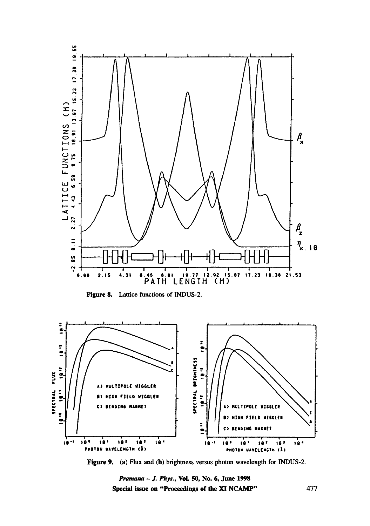

**Figure 8. Lattice functions of INDUS-2.** 



**Figure 9.** (a) Flux and (b) brightness versus photon wavelength for INDUS-2.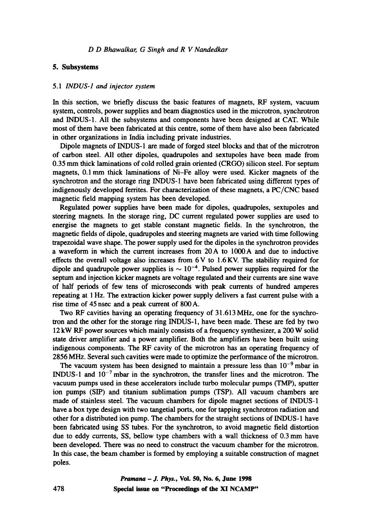## **5. Subsystems**

#### 5.1 *INDUS-1 and injector system*

In this section, we briefly discuss the basic features of magnets, RF system, vacuum system, controls, power supplies and beam diagnostics used in the microtron, synchrotron and INDUS-1. All the subsystems and components have been designed at CAT. While most of them have been fabricated at this centre, some of them have also been fabricated in other organizations in India including private industries.

Dipole magnets of INDUS- 1 are made of forged steel blocks and that of the microtron of carbon steel. All other dipoles, quadrupoles and sextupoles have been made from 0.35 mm thick laminations of cold rolled grain oriented (CRGO) silicon steel. For septum magnets, 0.1 mm thick laminations of Ni-Fe alloy were used. Kicker magnets of the synchrotron and the storage ring INDUS-1 have been fabricated using different types of indigenously developed ferrites. For characterization of these magnets, a PC/CNC based magnetic field mapping system has been developed.

Regulated power supplies have been made for dipoles, quadrupoles, sextupoles and steering magnets. In the storage ring, DC current regulated power supplies are used to energise the magnets to get stable constant magnetic fields. In the synchrotron, the magnetic fields of dipole, quadrupoles and steering magnets are varied with time following trapezoidal wave shape. The power supply used for the dipoles in the synchrotron provides a waveform in which the current increases from 20A to 1000A and due to inductive effects the overall voltage also increases from 6 V to 1.6 KV. The stability required for dipole and quadrupole power supplies is  $\sim 10^{-4}$ . Pulsed power supplies required for the septum and injection kicker magnets are voltage regulated and their currents are sine wave of half periods of few tens of microseconds with peak currents of hundred amperes repeating at 1 Hz. The extraction kicker power supply delivers a fast current pulse with a rise time of 45 nsec and a peak current of 800 A.

Two RF cavities having an operating frequency of 31.613 MHz, one for the synchrotron and the other for the storage ring INDUS-l, have been made. These are fed by two 12 kW RF power sources which mainly consists of a frequency synthesizer, a 200 W solid state driver amplifier and a power amplifier. Both the amplifiers have been built using indigenous components. The RF cavity of the microtron has an operating frequency of 2856 MHz. Several such cavities were made to optimize the performance of the microtron.

The vacuum system has been designed to maintain a pressure less than  $10^{-9}$  mbar in INDUS-1 and  $10^{-7}$  mbar in the synchrotron, the transfer lines and the microtron. The vacuum pumps used in these accelerators include turbo molecular pumps (TMP), sputter ion pumps (SIP) and titanium sublimation pumps (TSP). All vacuum chambers are made of stainless steel. The vacuum chambers for dipole magnet sections of INDUS-1 have a box type design with two tangetial ports, one for tapping synchrotron radiation and other for a distributed ion pump. The chambers for the straight sections of INDUS- 1 have been fabricated using SS tubes. For the synchrotron, to avoid magnetic field distortion due to eddy currents, SS, bellow type chambers with a wall thickness of 0.3 mm have been developed. There was no need to construct the vacuum chamber for the microtron. In this case, the beam chamber is formed by employing a suitable construction of magnet poles.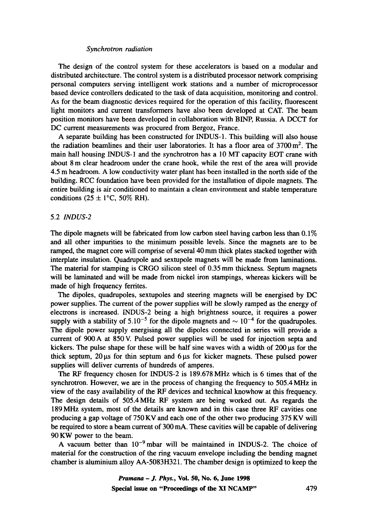The design of the control system for these accelerators is based on a modular and distributed architecture. The control system is a distributed processor network comprising personal computers serving intelligent work stations and a number of microprocessor based device controllers dedicated to the task of data acquisition, monitoring and control. As for the beam diagnostic devices required for the operation of this facility, fluorescent light monitors and current transformers have also been developed at CAT. The beam position monitors have been developed in collaboration with BINP, Russia. A DCCT for DC current measurements was procured from Bergoz, France.

A separate building has been constructed for INDUS-1. This building will also house the radiation beamlines and their user laboratories. It has a floor area of  $3700 \,\mathrm{m}^2$ . The main hall housing INDUS-1 and the synchrotron has a 10 MT capacity EOT crane with about 8 m clear headroom under the crane hook, while the rest of the area will provide 4.5 m headroom. A low conductivity water plant has been installed in the north side of the building. RCC foundation have been provided for the installation of dipole magnets. The entire building is air conditioned to maintain a clean environment and stable temperature conditions (25  $\pm$  1°C, 50% RH).

# 5.2 *INDUS-2*

The dipole magnets will be fabricated from low carbon steel having carbon less than  $0.1\%$ and all other impurities to the minimum possible levels. Since the magnets are to be ramped, the magnet core will comprise of several 40 mm thick plates stacked together with interplate insulation. Quadrupole and sextupole magnets will be made from laminations. The material for stamping is CRGO silicon steel of 0.35 mm thickness. Septum magnets will be laminated and will be made from nickel iron stampings, whereas kickers will be made of high frequency ferrites.

The dipoles, quadrupoles, sextupoles and steering magnets will be energised by DC power supplies. The current of the power supplies will be slowly ramped as the energy of electrons is increased. INDUS-2 being a high brightness source, it requires a power supply with a stability of  $5.10^{-5}$  for the dipole magnets and  $\sim 10^{-4}$  for the quadrupoles. The dipole power supply energising all the dipoles connected in series will provide a current of 900 A at 850 V. Pulsed power supplies will be used for injection septa and kickers. The pulse shape for these will be half sine waves with a width of  $200 \mu s$  for the thick septum,  $20 \mu s$  for thin septum and  $6 \mu s$  for kicker magnets. These pulsed power supplies will deliver currents of hundreds of amperes.

The RF frequency chosen for INDUS-2 is 189.678MHz which is 6 times that of the synchrotron. However, we are in the process of changing the frequency to 505.4 MHz in view of the easy availability of the RF devices and technical knowhow at this frequency. The design details of 505.4 MHz RF system are being worked out. As regards the 189MHz system, most of the details are known and in this case three RF cavities one producing a gap voltage of 750 KV and each one of the other two producing 375 KV will be required to store a beam current of 300 mA. These cavities will be capable of delivering 90 KW power to the beam.

A vacuum better than  $10^{-9}$  mbar will be maintained in INDUS-2. The choice of material for the construction of the ring vacuum envelope including the bending magnet chamber is aluminium alloy AA-5083H321. The chamber design is optimized to keep the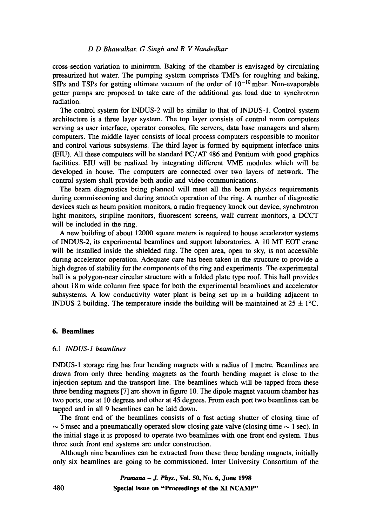#### *D D Bhawalkar, G Singh and R V Nandedkar*

cross-section variation to minimum. Baking of the chamber is envisaged by circulating pressurized hot water. The pumping system comprises TMPs for roughing and baking, SIPs and TSPs for getting ultimate vacuum of the order of  $10^{-10}$  mbar. Non-evaporable getter pumps are proposed to take care of the additional gas load due to synchrotron radiation.

The control system for INDUS-2 will be similar to that of INDUS-1. Control system architecture is a three layer system. The top layer consists of control room computers serving as user interface, operator consoles, file servers, data base managers and alarm computers. The middle layer consists of local process computers responsible to monitor and control various subsystems. The third layer is formed by equipment interface units (EIU). All these computers will be standard PC/AT 486 and Pentium with good graphics facilities. EIU will be realized by integrating different VME modules which will be developed in house. The computers are connected over two layers of network. The control system shall provide both audio and video communications.

The beam diagnostics being planned will meet all the beam physics requirements during commissioning and during smooth operation of the ring. A number of diagnostic devices such as beam position monitors, a radio frequency knock out device, synchrotron light monitors, stripline monitors, fluorescent screens, wall current monitors, a DCCT will be included in the ring.

A new building of about 12000 square meters is required to house accelerator systems of INDUS-2, its experimental beamlines and support laboratories. A 10 MT EOT crane will be installed inside the shielded ring. The open area, open to sky, is not accessible during accelerator operation. Adequate care has been taken in the structure to provide a high degree of stability for the components of the ring and experiments. The experimental hall is a polygon-near circular structure with a folded plate type roof. This hall provides about 18 m wide column free space for both the experimental beamlines and accelerator subsystems. A low conductivity water plant is being set up in a building adjacent to INDUS-2 building. The temperature inside the building will be maintained at  $25 \pm 1^{\circ}$ C.

#### **6. Beamlines**

#### 6.1 *INDUS-1 beamlines*

INDUS-1 storage ring has four bending magnets with a radius of 1 metre. Beamlines are drawn from only three bending magnets as the fourth bending magnet is close to the injection septum and the transport line. The beamlines which will be tapped from these three bending magnets [7] are shown in figure 10. The dipole magnet vacuum chamber has two ports, one at 10 degrees and other at 45 degrees. From each port two beamlines can be tapped and in all 9 beamlines can be laid down.

The front end of the beamlines consists of a fast acting shutter of closing time of  $\sim$  5 msec and a pneumatically operated slow closing gate valve (closing time  $\sim$  1 sec). In the initial stage it is proposed to operate two beamlines with one front end system. Thus three such front end systems are under construction.

Although nine beamlines can be extracted from these three bending magnets, initially only six beamlines are going to be commissioned. Inter University Consortium of the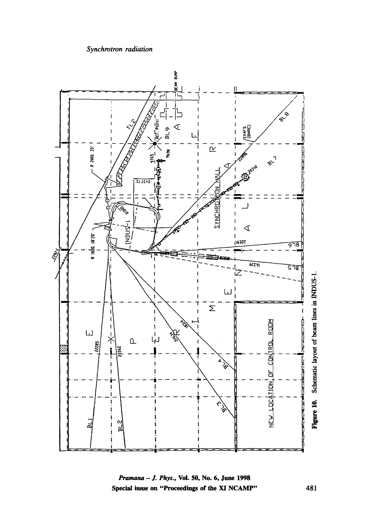

**i**<br>hys., Vol. 50, I<br>Proceedings o i. **~z e~**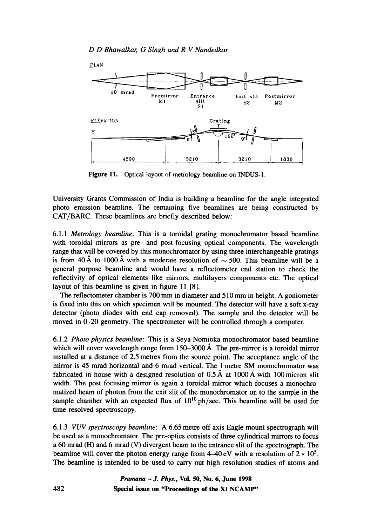

Figure 11. Optical layout of metrology beamline on INDUS-1.

University Grants Commission of India is building a beamline for the angle integrated photo emission beamline. The remaining five beamlines are being constructed by CAT/BARC. These beamlines are briefly described below:

6.1.1 *Metrology beamline:* This is a toroidal grating monochromator based beamline with toroidal mirrors as pre- and post-focusing optical components. The wavelength range that will be covered by this monochromator by using three interchangeable gratings is from 40 Å to 1000 Å with a moderate resolution of  $\sim$  500. This beamline will be a general purpose beamline and would have a reflectometer end station to check the reflectivity of optical elements like mirrors, multilayers components etc. The optical layout of this beamline is given in figure 11 [8].

The reflectometer chamber is 700 mm in diameter and 510 mm in height. A goniometer is fixed into this on which specimen will be mounted. The detector will have a soft x-ray detector (photo diodes with end cap removed). The sample and the detector will be moved in 0-20 geometry. The spectrometer will be controlled through a computer.

6.1.2 *Photo physics beamline:* This is a Seya Nomioka monochromator based beamline which will cover wavelength range from  $150-3000$  Å. The pre-mirror is a toroidal mirror installed at a distance of 2.5 metres from the source point. The acceptance angle of the mirror is 45 mrad horizontal and 6 mrad vertical. The 1 metre SM monochromator was fabricated in house with a designed resolution of  $0.5 \text{ Å}$  at  $1000 \text{ Å}$  with  $100 \text{ micron slit}$ width. The post focusing mirror is again a toroidal mirror which focuses a monochromatized beam of photon from the exit slit of the monochromator on to the sample in the sample chamber with an expected flux of  $10^{10}$  ph/sec. This beamline will be used for time resolved spectroscopy.

*6.1.3 VUV spectroscopy beamline:* A 6.65 metre off axis Eagle mount spectrograph will be used as a monochromator. The pre-optics consists of three cylindrical mirrors to focus a 60 mrad (H) and 6 mrad (V) divergent beam to the entrance slit of the spectrograph. The beamline will cover the photon energy range from  $4-40 \text{ eV}$  with a resolution of  $2 * 10^5$ . The beamline is intended to be used to carry out high resolution studies of atoms and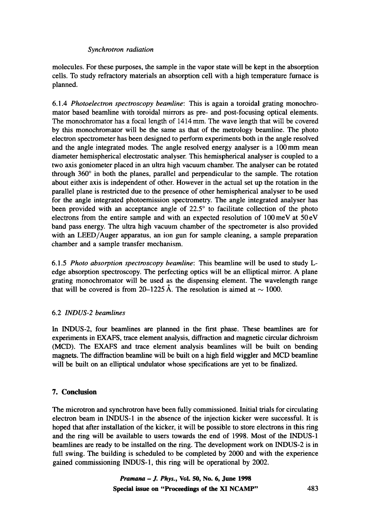molecules. For these purposes, the sample in the vapor state will be kept in the absorption cells. To study refractory materials an absorption cell with a high temperature furnace is planned.

6.1.4 *Photoelectron spectroscopy beamline:* This is again a toroidal grating monochromator based beamline with toroidal mirrors as pre- and post-focusing optical elements. The monochromator has a focal length of 1414 mm. The wave length that will be covered by this monochromator will be the same as that of the metrology beamline. The photo electron spectrometer has been designed to perform experiments both in the angle resolved and the angle integrated modes. The angle resolved energy analyser is a 100mm mean diameter hemispherical electrostatic analyser. This hemispherical analyser is coupled to a two axis goniometer placed in an ultra high vacuum chamber. The analyser can be rotated through  $360^\circ$  in both the planes, parallel and perpendicular to the sample. The rotation about either axis is independent of other. However in the actual set up the rotation in the parallel plane is restricted due to the presence of other hemispherical analyser to be used for the angle integrated photoemission spectrometry. The angle integrated analyser has been provided with an acceptance angle of  $22.5^\circ$  to facilitate collection of the photo electrons from the entire sample and with an expected resolution of 100meV at 50eV band pass energy. The ultra high vacuum chamber of the spectrometer is also provided with an LEED/Auger apparatus, an ion gun for sample cleaning, a sample preparation chamber and a sample transfer mechanism.

6.1.5 *Photo absorption spectroscopy beamline:* This beamline will be used to study Ledge absorption spectroscopy. The perfecting optics will be an elliptical mirror. A plane grating monochromator will be used as the dispensing element. The wavelength range that will be covered is from 20–1225 Å. The resolution is aimed at  $\sim$  1000.

# 6.2 *INDUS-2 beamlines*

In INDUS-2, four beamlines are planned in the first phase. These beamlines are for experiments in EXAFS, trace element analysis, diffraction and magnetic circular dichroism (MCD). The EXAFS and trace element analysis beamlines will be built on bending magnets. The diffraction beamline will be built on a high field wiggler and MCD beamline will be built on an elliptical undulator whose specifications are yet to be finalized.

# **7. Conclusion**

The microtron and synchrotron have been fully commissioned. Initial trials for circulating electron beam in INDUS-1 in the absence of the injection kicker were successful. It is hoped that after installation of the kicker, it will be possible to store electrons in this ring and the ring will be available to users towards the end of 1998. Most of the INDUS-1 beamlines are ready to be installed on the ring. The development work on INDUS-2 is in full swing. The building is scheduled to be completed by 2000 and with the experience gained commissioning INDUS-l, this ring will be operational by 2002.